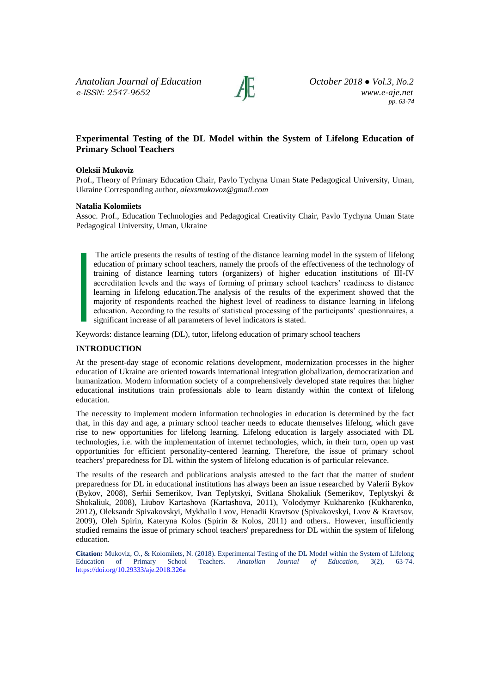*Anatolian Journal of Education October 2018 ● Vol.3, No.2 e-ISSN: 2547-9652 www.e-aje.net*



*pp. 63-74*

# **Experimental Testing of the DL Model within the System of Lifelong Education of Primary School Teachers**

### **Oleksii Mukoviz**

Prof., Theory of Primary Education Chair, Pavlo Tychyna Uman State Pedagogical University, Uman, Ukraine Corresponding author, *[alexsmukovoz@gmail.com](mailto:alexsmukovoz@gmail.com)*

#### **Natalia Kolomiiets**

Assoc. Prof., Education Technologies and Pedagogical Creativity Chair, Pavlo Tychyna Uman State Pedagogical University, Uman, Ukraine

The article presents the results of testing of the distance learning model in the system of lifelong education of primary school teachers, namely the proofs of the effectiveness of the technology of training of distance learning tutors (organizers) of higher education institutions of III-IV accreditation levels and the ways of forming of primary school teachers' readiness to distance learning in lifelong education.The analysis of the results of the experiment showed that the majority of respondents reached the highest level of readiness to distance learning in lifelong education. According to the results of statistical processing of the participants' questionnaires, a significant increase of all parameters of level indicators is stated.

Keywords: distance learning (DL), tutor, lifelong education of primary school teachers

#### **INTRODUCTION**

At the present-day stage of economic relations development, modernization processes in the higher education of Ukraine are oriented towards international integration globalization, democratization and humanization. Modern information society of a comprehensively developed state requires that higher educational institutions train professionals able to learn distantly within the context of lifelong education.

The necessity to implement modern information technologies in education is determined by the fact that, in this day and age, a primary school teacher needs to educate themselves lifelong, which gave rise to new opportunities for lifelong learning. Lifelong education is largely associated with DL technologies, i.e. with the implementation of internet technologies, which, in their turn, open up vast opportunities for efficient personality-centered learning. Therefore, the issue of primary school teachers' preparedness for DL within the system of lifelong education is of particular relevance.

The results of the research and publications analysis attested to the fact that the matter of student preparedness for DL in educational institutions has always been an issue researched by Valerii Bykov (Bykov, 2008), Serhii Semerikov, Ivan Teplytskyi, Svitlana Shokaliuk (Semerikov, Teplytskyi & Shokaliuk, 2008), Liubov Kartashova (Kartashova, 2011), Volodymyr Kukharenko (Kukharenko, 2012), Oleksandr Spivakovskyi, Mykhailo Lvov, Henadii Kravtsov (Spivakovskyi, Lvov & Kravtsov, 2009), Oleh Spirin, Kateryna Kolos (Spirin & Kolos, 2011) and others.. However, insufficiently studied remains the issue of primary school teachers' preparedness for DL within the system of lifelong education.

**Citation:** Mukoviz, O., & Kolomiiets, N. (2018). Experimental Testing of the DL Model within the System of Lifelong Education of Primary School Teachers. Anatolian Journal of Education, 3(2), 63-74. Teachers. Anatolian Journal of Education, 3(2), 63-74. <https://doi.org/10.29333/aje.2018.326a>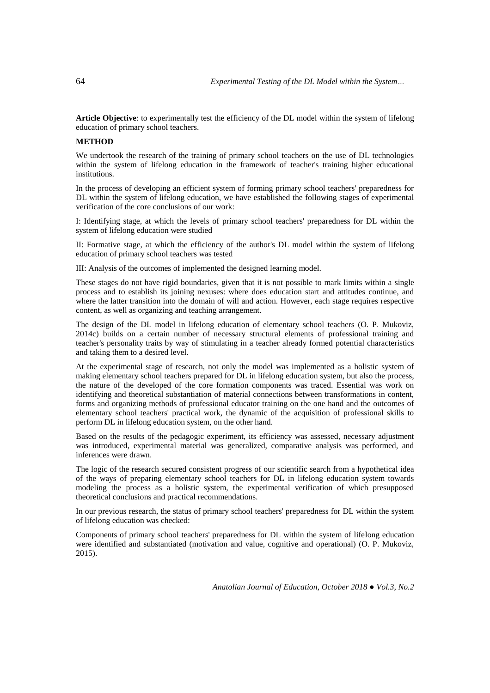**Article Objective**: to experimentally test the efficiency of the DL model within the system of lifelong education of primary school teachers.

# **METHOD**

We undertook the research of the training of primary school teachers on the use of DL technologies within the system of lifelong education in the framework of teacher's training higher educational institutions.

In the process of developing an efficient system of forming primary school teachers' preparedness for DL within the system of lifelong education, we have established the following stages of experimental verification of the core conclusions of our work:

I: Identifying stage, at which the levels of primary school teachers' preparedness for DL within the system of lifelong education were studied

II: Formative stage, at which the efficiency of the author's DL model within the system of lifelong education of primary school teachers was tested

III: Analysis of the outcomes of implemented the designed learning model.

These stages do not have rigid boundaries, given that it is not possible to mark limits within a single process and to establish its joining nexuses: where does education start and attitudes continue, and where the latter transition into the domain of will and action. However, each stage requires respective content, as well as organizing and teaching arrangement.

The design of the DL model in lifelong education of elementary school teachers (O. P. Mukoviz, 2014c) builds on a certain number of necessary structural elements of professional training and teacher's personality traits by way of stimulating in a teacher already formed potential characteristics and taking them to a desired level.

At the experimental stage of research, not only the model was implemented as a holistic system of making elementary school teachers prepared for DL in lifelong education system, but also the process, the nature of the developed of the core formation components was traced. Essential was work on identifying and theoretical substantiation of material connections between transformations in content, forms and organizing methods of professional educator training on the one hand and the outcomes of elementary school teachers' practical work, the dynamic of the acquisition of professional skills to perform DL in lifelong education system, on the other hand.

Based on the results of the pedagogic experiment, its efficiency was assessed, necessary adjustment was introduced, experimental material was generalized, comparative analysis was performed, and inferences were drawn.

The logic of the research secured consistent progress of our scientific search from a hypothetical idea of the ways of preparing elementary school teachers for DL in lifelong education system towards modeling the process as a holistic system, the experimental verification of which presupposed theoretical conclusions and practical recommendations.

In our previous research, the status of primary school teachers' preparedness for DL within the system of lifelong education was checked:

Components of primary school teachers' preparedness for DL within the system of lifelong education were identified and substantiated (motivation and value, cognitive and operational) (O. P. Mukoviz, 2015).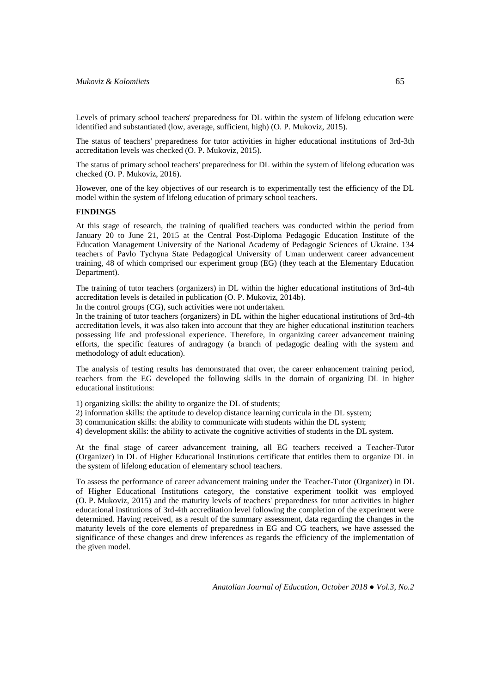Levels of primary school teachers' preparedness for DL within the system of lifelong education were identified and substantiated (low, average, sufficient, high) (O. P. Mukoviz, 2015).

The status of teachers' preparedness for tutor activities in higher educational institutions of 3rd-3th accreditation levels was checked (O. P. Mukoviz, 2015).

The status of primary school teachers' preparedness for DL within the system of lifelong education was checked (O. P. Mukoviz, 2016).

However, one of the key objectives of our research is to experimentally test the efficiency of the DL model within the system of lifelong education of primary school teachers.

## **FINDINGS**

At this stage of research, the training of qualified teachers was conducted within the period from January 20 to June 21, 2015 at the Central Post-Diploma Pedagogic Education Institute of the Education Management University of the National Academy of Pedagogic Sciences of Ukraine. 134 teachers of Pavlo Tychyna State Pedagogical University of Uman underwent career advancement training, 48 of which comprised our experiment group (EG) (they teach at the Elementary Education Department).

The training of tutor teachers (organizers) in DL within the higher educational institutions of 3rd-4th accreditation levels is detailed in publication (O. P. Mukoviz, 2014b).

In the control groups (CG), such activities were not undertaken.

In the training of tutor teachers (organizers) in DL within the higher educational institutions of 3rd-4th accreditation levels, it was also taken into account that they are higher educational institution teachers possessing life and professional experience. Therefore, in organizing career advancement training efforts, the specific features of andragogy (a branch of pedagogic dealing with the system and methodology of adult education).

The analysis of testing results has demonstrated that over, the career enhancement training period, teachers from the EG developed the following skills in the domain of organizing DL in higher educational institutions:

1) organizing skills: the ability to organize the DL of students;

2) information skills: the aptitude to develop distance learning curricula in the DL system;

3) communication skills: the ability to communicate with students within the DL system;

4) development skills: the ability to activate the cognitive activities of students in the DL system.

At the final stage of career advancement training, all EG teachers received a Teacher-Tutor (Organizer) in DL of Higher Educational Institutions certificate that entitles them to organize DL in the system of lifelong education of elementary school teachers.

To assess the performance of career advancement training under the Teacher-Tutor (Organizer) in DL of Higher Educational Institutions category, the constative experiment toolkit was employed (O. P. Mukoviz, 2015) and the maturity levels of teachers' preparedness for tutor activities in higher educational institutions of 3rd-4th accreditation level following the completion of the experiment were determined. Having received, as a result of the summary assessment, data regarding the changes in the maturity levels of the core elements of preparedness in EG and CG teachers, we have assessed the significance of these changes and drew inferences as regards the efficiency of the implementation of the given model.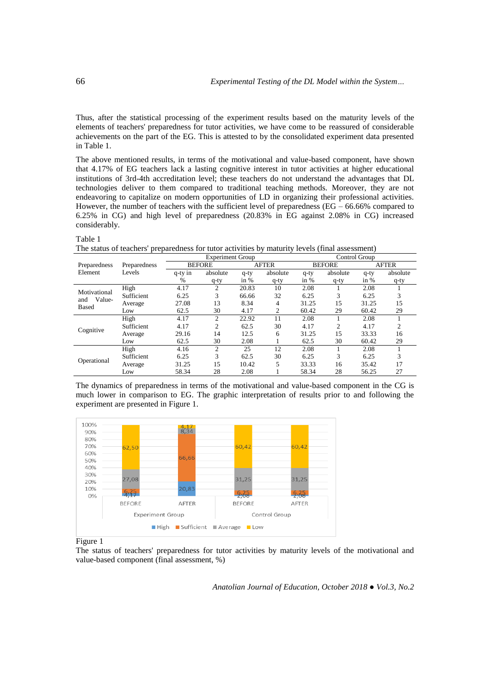Thus, after the statistical processing of the experiment results based on the maturity levels of the elements of teachers' preparedness for tutor activities, we have come to be reassured of considerable achievements on the part of the EG. This is attested to by the consolidated experiment data presented in Table 1.

The above mentioned results, in terms of the motivational and value-based component, have shown that 4.17% of EG teachers lack a lasting cognitive interest in tutor activities at higher educational institutions of 3rd-4th accreditation level; these teachers do not understand the advantages that DL technologies deliver to them compared to traditional teaching methods. Moreover, they are not endeavoring to capitalize on modern opportunities of LD in organizing their professional activities. However, the number of teachers with the sufficient level of preparedness (EG – 66.66% compared to 6.25% in CG) and high level of preparedness (20.83% in EG against 2.08% in CG) increased considerably.

### Table 1

The status of teachers' preparedness for tutor activities by maturity levels (final assessment)

|                                               |              |               | <b>Experiment Group</b> |              | Control Group |               |          |              |          |
|-----------------------------------------------|--------------|---------------|-------------------------|--------------|---------------|---------------|----------|--------------|----------|
| Preparedness                                  | Preparedness | <b>BEFORE</b> |                         | <b>AFTER</b> |               | <b>BEFORE</b> |          | <b>AFTER</b> |          |
| Element                                       | Levels       | q-ty in       | absolute                | $q$ -ty      | absolute      | q-ty          | absolute | $q$ -ty      | absolute |
|                                               |              | %             | $q$ -ty                 | in $%$       | $q$ -ty       | in $%$        | $q$ -ty  | in $%$       | q-ty     |
| Motivational<br>Value-<br>and<br><b>Based</b> | High         | 4.17          | 2                       | 20.83        | 10            | 2.08          |          | 2.08         |          |
|                                               | Sufficient   | 6.25          | 3                       | 66.66        | 32            | 6.25          | 3        | 6.25         |          |
|                                               | Average      | 27.08         | 13                      | 8.34         | 4             | 31.25         | 15       | 31.25        | 15       |
|                                               | Low          | 62.5          | 30                      | 4.17         | 2             | 60.42         | 29       | 60.42        | 29       |
| Cognitive                                     | High         | 4.17          | 2                       | 22.92        | 11            | 2.08          |          | 2.08         |          |
|                                               | Sufficient   | 4.17          | 2                       | 62.5         | 30            | 4.17          | 2        | 4.17         | 2        |
|                                               | Average      | 29.16         | 14                      | 12.5         | 6             | 31.25         | 15       | 33.33        | 16       |
|                                               | Low          | 62.5          | 30                      | 2.08         |               | 62.5          | 30       | 60.42        | 29       |
| Operational                                   | High         | 4.16          | 2                       | 25           | 12            | 2.08          |          | 2.08         |          |
|                                               | Sufficient   | 6.25          | 3                       | 62.5         | 30            | 6.25          | 3        | 6.25         | 3        |
|                                               | Average      | 31.25         | 15                      | 10.42        | 5             | 33.33         | 16       | 35.42        | 17       |
|                                               | Low          | 58.34         | 28                      | 2.08         |               | 58.34         | 28       | 56.25        | 27       |

The dynamics of preparedness in terms of the motivational and value-based component in the CG is much lower in comparison to EG. The graphic interpretation of results prior to and following the experiment are presented in Figure 1.



Figure 1

The status of teachers' preparedness for tutor activities by maturity levels of the motivational and value-based component (final assessment, %)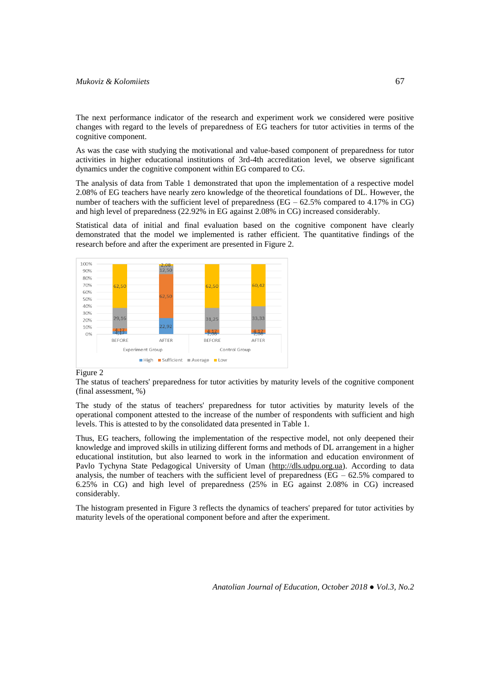# *Mukoviz & Kolomiiets* 67

The next performance indicator of the research and experiment work we considered were positive changes with regard to the levels of preparedness of EG teachers for tutor activities in terms of the cognitive component.

As was the case with studying the motivational and value-based component of preparedness for tutor activities in higher educational institutions of 3rd-4th accreditation level, we observe significant dynamics under the cognitive component within EG compared to CG.

The analysis of data from Table 1 demonstrated that upon the implementation of a respective model 2.08% of EG teachers have nearly zero knowledge of the theoretical foundations of DL. However, the number of teachers with the sufficient level of preparedness (EG – 62.5% compared to 4.17% in CG) and high level of preparedness (22.92% in EG against 2.08% in CG) increased considerably.

Statistical data of initial and final evaluation based on the cognitive component have clearly demonstrated that the model we implemented is rather efficient. The quantitative findings of the research before and after the experiment are presented in Figure 2.



#### Figure 2

The status of teachers' preparedness for tutor activities by maturity levels of the cognitive component (final assessment, %)

The study of the status of teachers' preparedness for tutor activities by maturity levels of the operational component attested to the increase of the number of respondents with sufficient and high levels. This is attested to by the consolidated data presented in Table 1.

Thus, EG teachers, following the implementation of the respective model, not only deepened their knowledge and improved skills in utilizing different forms and methods of DL arrangement in a higher educational institution, but also learned to work in the information and education environment of Pavlo Tychyna State Pedagogical University of Uman (http://dls.udpu.org.ua). According to data analysis, the number of teachers with the sufficient level of preparedness ( $EG - 62.5\%$  compared to 6.25% in CG) and high level of preparedness (25% in EG against 2.08% in CG) increased considerably.

The histogram presented in Figure 3 reflects the dynamics of teachers' prepared for tutor activities by maturity levels of the operational component before and after the experiment.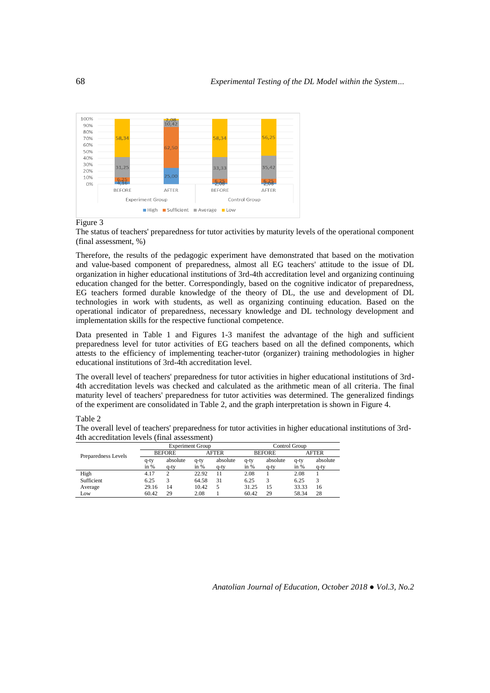

# Figure 3

The status of teachers' preparedness for tutor activities by maturity levels of the operational component (final assessment, %)

Therefore, the results of the pedagogic experiment have demonstrated that based on the motivation and value-based component of preparedness, almost all EG teachers' attitude to the issue of DL organization in higher educational institutions of 3rd-4th accreditation level and organizing continuing education changed for the better. Correspondingly, based on the cognitive indicator of preparedness, EG teachers formed durable knowledge of the theory of DL, the use and development of DL technologies in work with students, as well as organizing continuing education. Based on the operational indicator of preparedness, necessary knowledge and DL technology development and implementation skills for the respective functional competence.

Data presented in Table 1 and Figures 1-3 manifest the advantage of the high and sufficient preparedness level for tutor activities of EG teachers based on all the defined components, which attests to the efficiency of implementing teacher-tutor (organizer) training methodologies in higher educational institutions of 3rd-4th accreditation level.

The overall level of teachers' preparedness for tutor activities in higher educational institutions of 3rd-4th accreditation levels was checked and calculated as the arithmetic mean of all criteria. The final maturity level of teachers' preparedness for tutor activities was determined. The generalized findings of the experiment are consolidated in Table 2, and the graph interpretation is shown in Figure 4.

## Table 2

The overall level of teachers' preparedness for tutor activities in higher educational institutions of 3rd-4th accreditation levels (final assessment)

|                     | <b>Experiment Group</b> |          |              |          | Control Group |          |              |          |
|---------------------|-------------------------|----------|--------------|----------|---------------|----------|--------------|----------|
| Preparedness Levels | <b>BEFORE</b>           |          | <b>AFTER</b> |          | <b>BEFORE</b> |          | <b>AFTER</b> |          |
|                     | q-ty                    | absolute | q-ty         | absolute | q-ty          | absolute | q-ty         | absolute |
|                     | in $%$                  | $q$ -ty  | in $%$       | q-ty     | in $%$        | q-ty     | in $%$       | q-ty     |
| High                | 4.17                    | າ        | 22.92        | 11       | 2.08          |          | 2.08         |          |
| Sufficient          | 6.25                    |          | 64.58        | 31       | 6.25          |          | 6.25         |          |
| Average             | 29.16                   | 14       | 10.42        |          | 31.25         | 15       | 33.33        | 16       |
| Low                 | 60.42                   | 29       | 2.08         |          | 60.42         | 29       | 58.34        | 28       |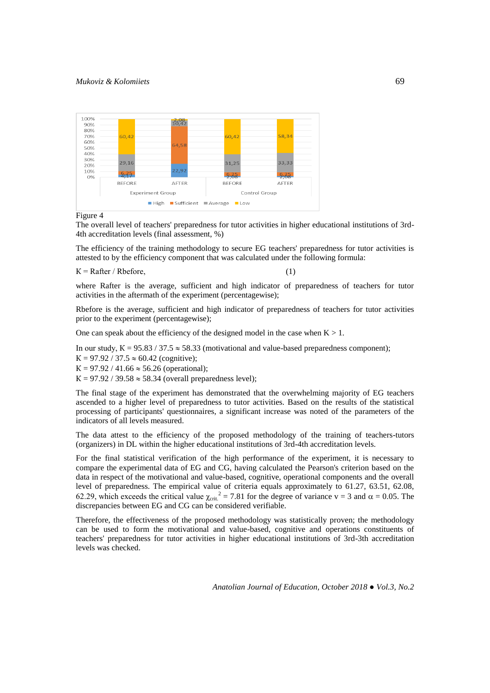

Figure 4

The overall level of teachers' preparedness for tutor activities in higher educational institutions of 3rd-4th accreditation levels (final assessment, %)

The efficiency of the training methodology to secure EG teachers' preparedness for tutor activities is attested to by the efficiency component that was calculated under the following formula:

 $K =$  Rafter / Rbefore,

where Rafter is the average, sufficient and high indicator of preparedness of teachers for tutor activities in the aftermath of the experiment (percentagewise);

Rbefore is the average, sufficient and high indicator of preparedness of teachers for tutor activities prior to the experiment (percentagewise);

One can speak about the efficiency of the designed model in the case when  $K > 1$ .

In our study,  $K = 95.83 / 37.5 \approx 58.33$  (motivational and value-based preparedness component);

 $K = 97.92 / 37.5 \approx 60.42$  (cognitive);

 $K = 97.92 / 41.66 \approx 56.26$  (operational);

 $K = 97.92 / 39.58 \approx 58.34$  (overall preparedness level);

The final stage of the experiment has demonstrated that the overwhelming majority of EG teachers ascended to a higher level of preparedness to tutor activities. Based on the results of the statistical processing of participants' questionnaires, a significant increase was noted of the parameters of the indicators of all levels measured.

The data attest to the efficiency of the proposed methodology of the training of teachers-tutors (organizers) in DL within the higher educational institutions of 3rd-4th accreditation levels.

For the final statistical verification of the high performance of the experiment, it is necessary to compare the experimental data of EG and CG, having calculated the Pearson's criterion based on the data in respect of the motivational and value-based, cognitive, operational components and the overall level of preparedness. The empirical value of criteria equals approximately to 61.27, 63.51, 62.08, 62.29, which exceeds the critical value  $\chi_{\text{crit.}}^2 = 7.81$  for the degree of variance v = 3 and  $\alpha = 0.05$ . The discrepancies between EG and CG can be considered verifiable.

Therefore, the effectiveness of the proposed methodology was statistically proven; the methodology can be used to form the motivational and value-based, cognitive and operations constituents of teachers' preparedness for tutor activities in higher educational institutions of 3rd-3th accreditation levels was checked.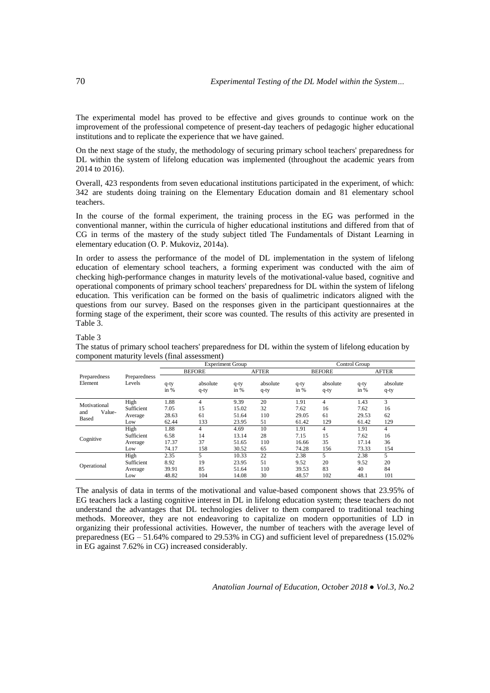The experimental model has proved to be effective and gives grounds to continue work on the improvement of the professional competence of present-day teachers of pedagogic higher educational institutions and to replicate the experience that we have gained.

On the next stage of the study, the methodology of securing primary school teachers' preparedness for DL within the system of lifelong education was implemented (throughout the academic years from 2014 to 2016).

Overall, 423 respondents from seven educational institutions participated in the experiment, of which: 342 are students doing training on the Elementary Education domain and 81 elementary school teachers.

In the course of the formal experiment, the training process in the EG was performed in the conventional manner, within the curricula of higher educational institutions and differed from that of CG in terms of the mastery of the study subject titled The Fundamentals of Distant Learning in elementary education (O. P. Mukoviz, 2014a).

In order to assess the performance of the model of DL implementation in the system of lifelong education of elementary school teachers, a forming experiment was conducted with the aim of checking high-performance changes in maturity levels of the motivational-value based, cognitive and operational components of primary school teachers' preparedness for DL within the system of lifelong education. This verification can be formed on the basis of qualimetric indicators aligned with the questions from our survey. Based on the responses given in the participant questionnaires at the forming stage of the experiment, their score was counted. The results of this activity are presented in Table 3.

### Table 3

The status of primary school teachers' preparedness for DL within the system of lifelong education by component maturity levels (final assessment)

|                                        | Preparedness<br>Levels | <b>Experiment Group</b> |                     |                 |                     | Control Group   |                     |                 |                     |  |
|----------------------------------------|------------------------|-------------------------|---------------------|-----------------|---------------------|-----------------|---------------------|-----------------|---------------------|--|
| Preparedness<br>Element                |                        | <b>BEFORE</b>           |                     |                 | <b>AFTER</b>        |                 | <b>BEFORE</b>       |                 | <b>AFTER</b>        |  |
|                                        |                        | $q$ -ty<br>in $%$       | absolute<br>$q$ -ty | $q$ -ty<br>in % | absolute<br>$q$ -ty | $q$ -ty<br>in % | absolute<br>$q$ -ty | $q$ -ty<br>in % | absolute<br>$q$ -ty |  |
| Motivational<br>Value-<br>and<br>Based | High                   | 1.88                    | 4                   | 9.39            | 20                  | 1.91            | $\overline{4}$      | 1.43            | 3                   |  |
|                                        | Sufficient             | 7.05                    | 15                  | 15.02           | 32                  | 7.62            | 16                  | 7.62            | 16                  |  |
|                                        | Average                | 28.63                   | 61                  | 51.64           | 110                 | 29.05           | 61                  | 29.53           | 62                  |  |
|                                        | Low                    | 62.44                   | 133                 | 23.95           | 51                  | 61.42           | 129                 | 61.42           | 129                 |  |
|                                        | High                   | 1.88                    | 4                   | 4.69            | 10                  | 1.91            | $\overline{4}$      | 1.91            | $\overline{4}$      |  |
| Cognitive                              | Sufficient             | 6.58                    | 14                  | 13.14           | 28                  | 7.15            | 15                  | 7.62            | 16                  |  |
|                                        | Average                | 17.37                   | 37                  | 51.65           | 110                 | 16.66           | 35                  | 17.14           | 36                  |  |
|                                        | Low                    | 74.17                   | 158                 | 30.52           | 65                  | 74.28           | 156                 | 73.33           | 154                 |  |
| Operational                            | High                   | 2.35                    | 5                   | 10.33           | 22                  | 2.38            | 5                   | 2.38            | 5                   |  |
|                                        | Sufficient             | 8.92                    | 19                  | 23.95           | 51                  | 9.52            | 20                  | 9.52            | 20                  |  |
|                                        | Average                | 39.91                   | 85                  | 51.64           | 110                 | 39.53           | 83                  | 40              | 84                  |  |
|                                        | Low                    | 48.82                   | 104                 | 14.08           | 30                  | 48.57           | 102                 | 48.1            | 101                 |  |

The analysis of data in terms of the motivational and value-based component shows that 23.95% of EG teachers lack a lasting cognitive interest in DL in lifelong education system; these teachers do not understand the advantages that DL technologies deliver to them compared to traditional teaching methods. Moreover, they are not endeavoring to capitalize on modern opportunities of LD in organizing their professional activities. However, the number of teachers with the average level of preparedness (EG – 51.64% compared to 29.53% in CG) and sufficient level of preparedness (15.02% in EG against 7.62% in CG) increased considerably.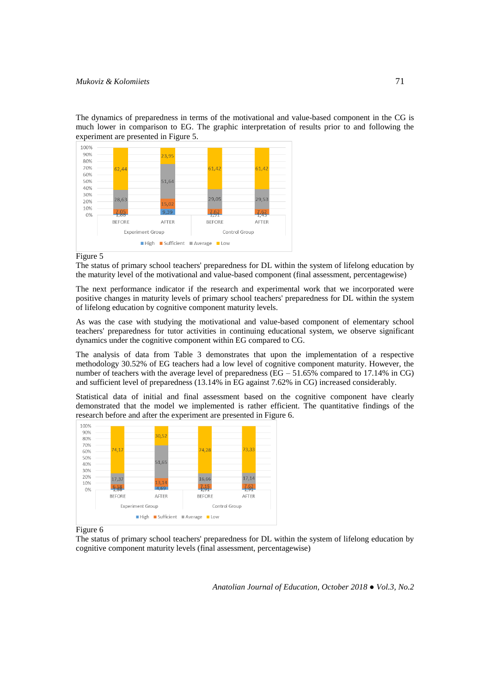The dynamics of preparedness in terms of the motivational and value-based component in the CG is much lower in comparison to EG. The graphic interpretation of results prior to and following the experiment are presented in Figure 5.



Figure 5

The status of primary school teachers' preparedness for DL within the system of lifelong education by the maturity level of the motivational and value-based component (final assessment, percentagewise)

The next performance indicator if the research and experimental work that we incorporated were positive changes in maturity levels of primary school teachers' preparedness for DL within the system of lifelong education by cognitive component maturity levels.

As was the case with studying the motivational and value-based component of elementary school teachers' preparedness for tutor activities in continuing educational system, we observe significant dynamics under the cognitive component within EG compared to CG.

The analysis of data from Table 3 demonstrates that upon the implementation of a respective methodology 30.52% of EG teachers had a low level of cognitive component maturity. However, the number of teachers with the average level of preparedness (EG – 51.65% compared to 17.14% in CG) and sufficient level of preparedness (13.14% in EG against 7.62% in CG) increased considerably.

Statistical data of initial and final assessment based on the cognitive component have clearly demonstrated that the model we implemented is rather efficient. The quantitative findings of the research before and after the experiment are presented in Figure 6.



Figure 6

The status of primary school teachers' preparedness for DL within the system of lifelong education by cognitive component maturity levels (final assessment, percentagewise)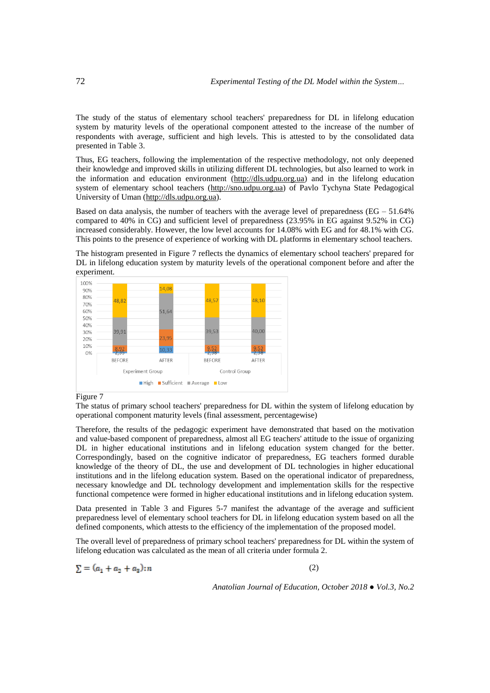The study of the status of elementary school teachers' preparedness for DL in lifelong education system by maturity levels of the operational component attested to the increase of the number of respondents with average, sufficient and high levels. This is attested to by the consolidated data presented in Table 3.

Thus, EG teachers, following the implementation of the respective methodology, not only deepened their knowledge and improved skills in utilizing different DL technologies, but also learned to work in the information and education environment (http://dls.udpu.org.ua) and in the lifelong education system of elementary school teachers (http://sno.udpu.org.ua) of Pavlo Tychyna State Pedagogical University of Uman (http://dls.udpu.org.ua).

Based on data analysis, the number of teachers with the average level of preparedness ( $EG - 51.64\%$ ) compared to 40% in CG) and sufficient level of preparedness (23.95% in EG against 9.52% in CG) increased considerably. However, the low level accounts for 14.08% with EG and for 48.1% with CG. This points to the presence of experience of working with DL platforms in elementary school teachers.





### Figure 7

The status of primary school teachers' preparedness for DL within the system of lifelong education by operational component maturity levels (final assessment, percentagewise)

Therefore, the results of the pedagogic experiment have demonstrated that based on the motivation and value-based component of preparedness, almost all EG teachers' attitude to the issue of organizing DL in higher educational institutions and in lifelong education system changed for the better. Correspondingly, based on the cognitive indicator of preparedness, EG teachers formed durable knowledge of the theory of DL, the use and development of DL technologies in higher educational institutions and in the lifelong education system. Based on the operational indicator of preparedness, necessary knowledge and DL technology development and implementation skills for the respective functional competence were formed in higher educational institutions and in lifelong education system.

Data presented in Table 3 and Figures 5-7 manifest the advantage of the average and sufficient preparedness level of elementary school teachers for DL in lifelong education system based on all the defined components, which attests to the efficiency of the implementation of the proposed model.

The overall level of preparedness of primary school teachers' preparedness for DL within the system of lifelong education was calculated as the mean of all criteria under formula 2.

$$
\sum = (a_1 + a_2 + a_3) : n
$$

(2)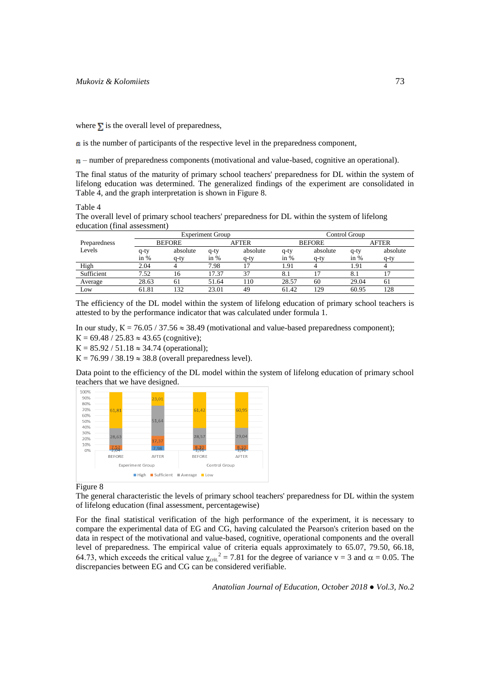where  $\Sigma$  is the overall level of preparedness,

is the number of participants of the respective level in the preparedness component,

 $n-$  number of preparedness components (motivational and value-based, cognitive an operational).

The final status of the maturity of primary school teachers' preparedness for DL within the system of lifelong education was determined. The generalized findings of the experiment are consolidated in Table 4, and the graph interpretation is shown in Figure 8.

Table 4

The overall level of primary school teachers' preparedness for DL within the system of lifelong education (final assessment)

|              |               |          | <b>Experiment Group</b> |          | Control Group |          |              |          |  |
|--------------|---------------|----------|-------------------------|----------|---------------|----------|--------------|----------|--|
| Preparedness | <b>BEFORE</b> |          | <b>AFTER</b>            |          | <b>BEFORE</b> |          | <b>AFTER</b> |          |  |
| Levels       | q-ty          | absolute | $q$ -ty                 | absolute | $q$ -ty       | absolute | q-ty         | absolute |  |
|              | in $%$        | q-ty     | in $%$                  | q-ty     | in $%$        | a-ty     | in $%$       | a-ty     |  |
| High         | 2.04          |          | 7.98                    |          | 1.91          |          | 1.91         |          |  |
| Sufficient   | 7.52          | 16       | 17.37                   |          | 8.1           |          | 8.1          |          |  |
| Average      | 28.63         | 61       | 51.64                   | 10       | 28.57         | 60       | 29.04        | 61       |  |
| Low          | 61.81         | 132      | 23.01                   | 49       | 61.42         | 129      | 60.95        | 128      |  |

The efficiency of the DL model within the system of lifelong education of primary school teachers is attested to by the performance indicator that was calculated under formula 1.

In our study,  $K = 76.05 / 37.56 \approx 38.49$  (motivational and value-based preparedness component);  $K = 69.48 / 25.83 \approx 43.65$  (cognitive);

 $K = 85.92 / 51.18 \approx 34.74$  (operational);

 $K = 76.99 / 38.19 \approx 38.8$  (overall preparedness level).

Data point to the efficiency of the DL model within the system of lifelong education of primary school teachers that we have designed.



### Figure 8

The general characteristic the levels of primary school teachers' preparedness for DL within the system of lifelong education (final assessment, percentagewise)

For the final statistical verification of the high performance of the experiment, it is necessary to compare the experimental data of EG and CG, having calculated the Pearson's criterion based on the data in respect of the motivational and value-based, cognitive, operational components and the overall level of preparedness. The empirical value of criteria equals approximately to 65.07, 79.50, 66.18, 64.73, which exceeds the critical value  $\chi_{\text{crit.}}^2 = 7.81$  for the degree of variance v = 3 and  $\alpha = 0.05$ . The discrepancies between EG and CG can be considered verifiable.